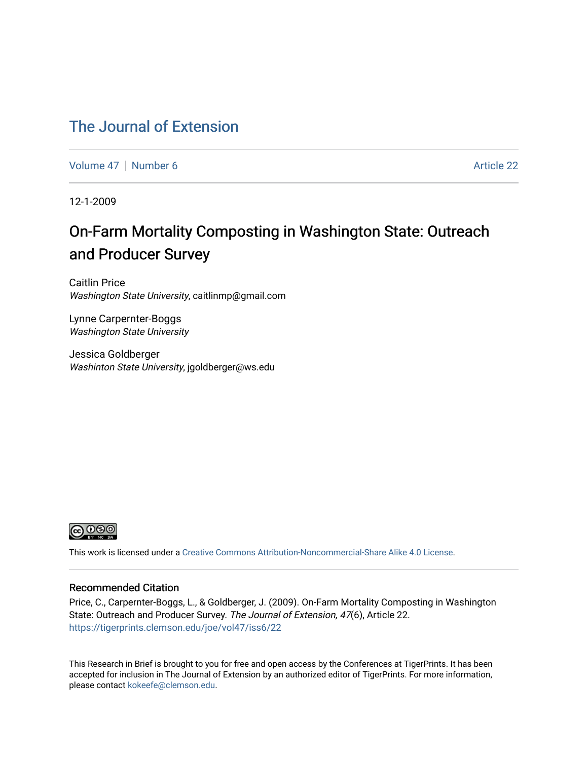### [The Journal of Extension](https://tigerprints.clemson.edu/joe)

[Volume 47](https://tigerprints.clemson.edu/joe/vol47) | [Number 6](https://tigerprints.clemson.edu/joe/vol47/iss6) Article 22

12-1-2009

## On-Farm Mortality Composting in Washington State: Outreach and Producer Survey

Caitlin Price Washington State University, caitlinmp@gmail.com

Lynne Carpernter-Boggs Washington State University

Jessica Goldberger Washinton State University, jgoldberger@ws.edu



This work is licensed under a [Creative Commons Attribution-Noncommercial-Share Alike 4.0 License.](https://creativecommons.org/licenses/by-nc-sa/4.0/)

#### Recommended Citation

Price, C., Carpernter-Boggs, L., & Goldberger, J. (2009). On-Farm Mortality Composting in Washington State: Outreach and Producer Survey. The Journal of Extension, 47(6), Article 22. <https://tigerprints.clemson.edu/joe/vol47/iss6/22>

This Research in Brief is brought to you for free and open access by the Conferences at TigerPrints. It has been accepted for inclusion in The Journal of Extension by an authorized editor of TigerPrints. For more information, please contact [kokeefe@clemson.edu](mailto:kokeefe@clemson.edu).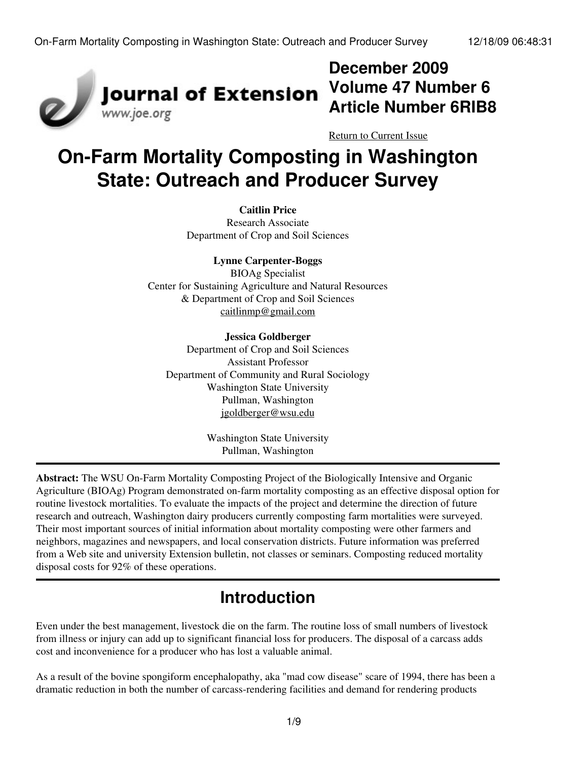

## **December 2009 Volume 47 Number 6 Article Number 6RIB8**

[Return to Current Issue](http://www.joe.org:80/joe/2009december/)

# **On-Farm Mortality Composting in Washington State: Outreach and Producer Survey**

#### **Caitlin Price**

Research Associate Department of Crop and Soil Sciences

#### **Lynne Carpenter-Boggs**

BIOAg Specialist Center for Sustaining Agriculture and Natural Resources & Department of Crop and Soil Sciences [caitlinmp@gmail.com](mailto:caitlinmp@gmail.com)

#### **Jessica Goldberger**

Department of Crop and Soil Sciences Assistant Professor Department of Community and Rural Sociology Washington State University Pullman, Washington [jgoldberger@wsu.edu](mailto:jgoldberger@wsu.edu)

> Washington State University Pullman, Washington

**Abstract:** The WSU On-Farm Mortality Composting Project of the Biologically Intensive and Organic Agriculture (BIOAg) Program demonstrated on-farm mortality composting as an effective disposal option for routine livestock mortalities. To evaluate the impacts of the project and determine the direction of future research and outreach, Washington dairy producers currently composting farm mortalities were surveyed. Their most important sources of initial information about mortality composting were other farmers and neighbors, magazines and newspapers, and local conservation districts. Future information was preferred from a Web site and university Extension bulletin, not classes or seminars. Composting reduced mortality disposal costs for 92% of these operations.

## **Introduction**

Even under the best management, livestock die on the farm. The routine loss of small numbers of livestock from illness or injury can add up to significant financial loss for producers. The disposal of a carcass adds cost and inconvenience for a producer who has lost a valuable animal.

As a result of the bovine spongiform encephalopathy, aka "mad cow disease" scare of 1994, there has been a dramatic reduction in both the number of carcass-rendering facilities and demand for rendering products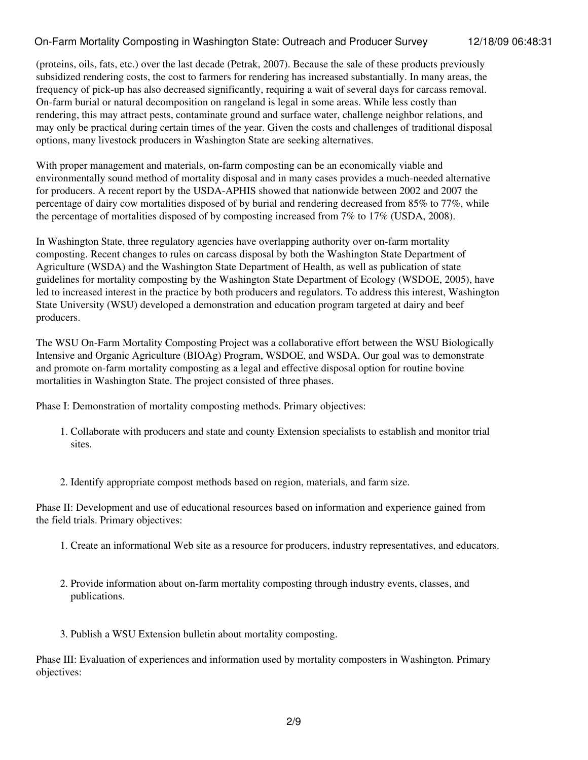### On-Farm Mortality Composting in Washington State: Outreach and Producer Survey 12/18/09 06:48:31

(proteins, oils, fats, etc.) over the last decade (Petrak, 2007). Because the sale of these products previously subsidized rendering costs, the cost to farmers for rendering has increased substantially. In many areas, the frequency of pick-up has also decreased significantly, requiring a wait of several days for carcass removal. On-farm burial or natural decomposition on rangeland is legal in some areas. While less costly than rendering, this may attract pests, contaminate ground and surface water, challenge neighbor relations, and may only be practical during certain times of the year. Given the costs and challenges of traditional disposal options, many livestock producers in Washington State are seeking alternatives.

With proper management and materials, on-farm composting can be an economically viable and environmentally sound method of mortality disposal and in many cases provides a much-needed alternative for producers. A recent report by the USDA-APHIS showed that nationwide between 2002 and 2007 the percentage of dairy cow mortalities disposed of by burial and rendering decreased from 85% to 77%, while the percentage of mortalities disposed of by composting increased from 7% to 17% (USDA, 2008).

In Washington State, three regulatory agencies have overlapping authority over on-farm mortality composting. Recent changes to rules on carcass disposal by both the Washington State Department of Agriculture (WSDA) and the Washington State Department of Health, as well as publication of state guidelines for mortality composting by the Washington State Department of Ecology (WSDOE, 2005), have led to increased interest in the practice by both producers and regulators. To address this interest, Washington State University (WSU) developed a demonstration and education program targeted at dairy and beef producers.

The WSU On-Farm Mortality Composting Project was a collaborative effort between the WSU Biologically Intensive and Organic Agriculture (BIOAg) Program, WSDOE, and WSDA. Our goal was to demonstrate and promote on-farm mortality composting as a legal and effective disposal option for routine bovine mortalities in Washington State. The project consisted of three phases.

Phase I: Demonstration of mortality composting methods. Primary objectives:

- 1. Collaborate with producers and state and county Extension specialists to establish and monitor trial sites.
- 2. Identify appropriate compost methods based on region, materials, and farm size.

Phase II: Development and use of educational resources based on information and experience gained from the field trials. Primary objectives:

- 1. Create an informational Web site as a resource for producers, industry representatives, and educators.
- 2. Provide information about on-farm mortality composting through industry events, classes, and publications.
- 3. Publish a WSU Extension bulletin about mortality composting.

Phase III: Evaluation of experiences and information used by mortality composters in Washington. Primary objectives: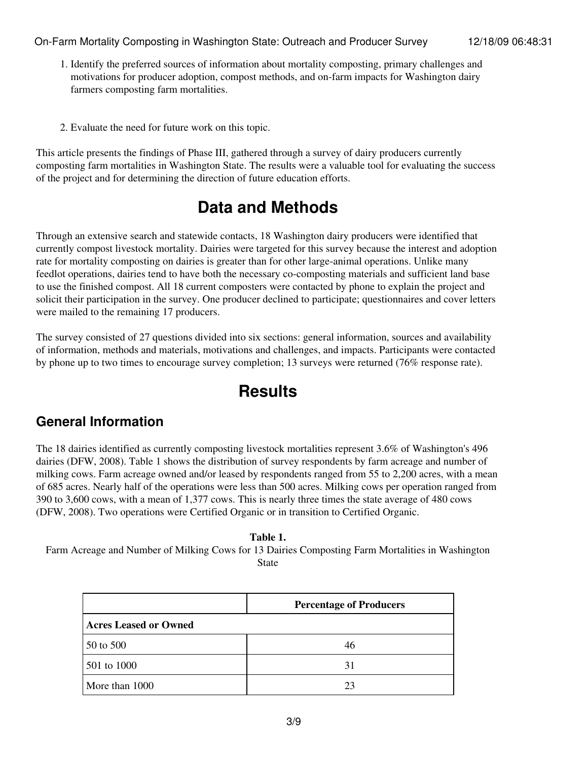- 1. Identify the preferred sources of information about mortality composting, primary challenges and motivations for producer adoption, compost methods, and on-farm impacts for Washington dairy farmers composting farm mortalities.
- 2. Evaluate the need for future work on this topic.

This article presents the findings of Phase III, gathered through a survey of dairy producers currently composting farm mortalities in Washington State. The results were a valuable tool for evaluating the success of the project and for determining the direction of future education efforts.

## **Data and Methods**

Through an extensive search and statewide contacts, 18 Washington dairy producers were identified that currently compost livestock mortality. Dairies were targeted for this survey because the interest and adoption rate for mortality composting on dairies is greater than for other large-animal operations. Unlike many feedlot operations, dairies tend to have both the necessary co-composting materials and sufficient land base to use the finished compost. All 18 current composters were contacted by phone to explain the project and solicit their participation in the survey. One producer declined to participate; questionnaires and cover letters were mailed to the remaining 17 producers.

The survey consisted of 27 questions divided into six sections: general information, sources and availability of information, methods and materials, motivations and challenges, and impacts. Participants were contacted by phone up to two times to encourage survey completion; 13 surveys were returned (76% response rate).

## **Results**

### **General Information**

The 18 dairies identified as currently composting livestock mortalities represent 3.6% of Washington's 496 dairies (DFW, 2008). Table 1 shows the distribution of survey respondents by farm acreage and number of milking cows. Farm acreage owned and/or leased by respondents ranged from 55 to 2,200 acres, with a mean of 685 acres. Nearly half of the operations were less than 500 acres. Milking cows per operation ranged from 390 to 3,600 cows, with a mean of 1,377 cows. This is nearly three times the state average of 480 cows (DFW, 2008). Two operations were Certified Organic or in transition to Certified Organic.

**Table 1.** Farm Acreage and Number of Milking Cows for 13 Dairies Composting Farm Mortalities in Washington State

|                              | <b>Percentage of Producers</b> |  |
|------------------------------|--------------------------------|--|
| <b>Acres Leased or Owned</b> |                                |  |
| 50 to 500                    | 46                             |  |
| 501 to 1000                  | 31                             |  |
| More than 1000               | 23                             |  |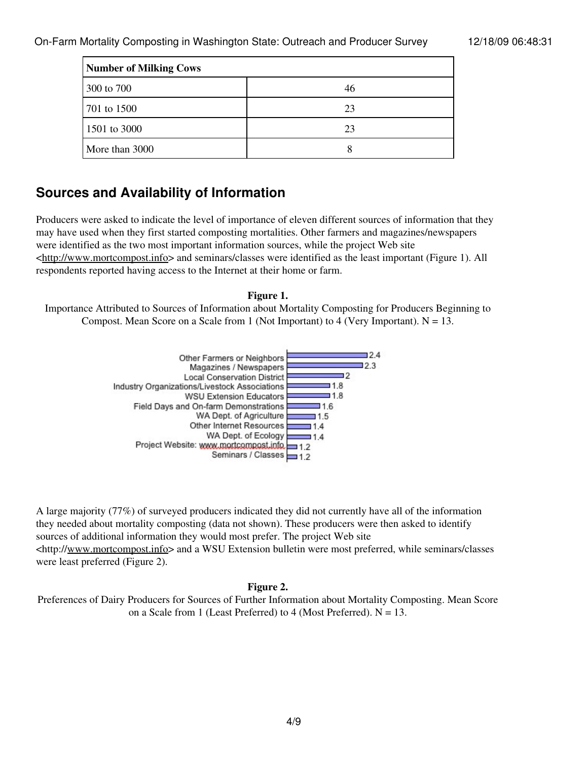On-Farm Mortality Composting in Washington State: Outreach and Producer Survey 12/18/09 06:48:31

| <b>Number of Milking Cows</b> |    |  |
|-------------------------------|----|--|
| 300 to 700                    | 46 |  |
| 701 to 1500                   | 23 |  |
| 1501 to 3000                  | 23 |  |
| More than 3000                |    |  |

### **Sources and Availability of Information**

Producers were asked to indicate the level of importance of eleven different sources of information that they may have used when they first started composting mortalities. Other farmers and magazines/newspapers were identified as the two most important information sources, while the project Web site <[http://www.mortcompost.info](http://www.mortcompost.info/)> and seminars/classes were identified as the least important (Figure 1). All respondents reported having access to the Internet at their home or farm.

#### **Figure 1.**

Importance Attributed to Sources of Information about Mortality Composting for Producers Beginning to Compost. Mean Score on a Scale from 1 (Not Important) to 4 (Very Important).  $N = 13$ .



A large majority (77%) of surveyed producers indicated they did not currently have all of the information they needed about mortality composting (data not shown). These producers were then asked to identify sources of additional information they would most prefer. The project Web site <http:/[/www.mortcompost.info](http://www.mortcompost.info/)> and a WSU Extension bulletin were most preferred, while seminars/classes were least preferred (Figure 2).

### **Figure 2.**

Preferences of Dairy Producers for Sources of Further Information about Mortality Composting. Mean Score on a Scale from 1 (Least Preferred) to 4 (Most Preferred).  $N = 13$ .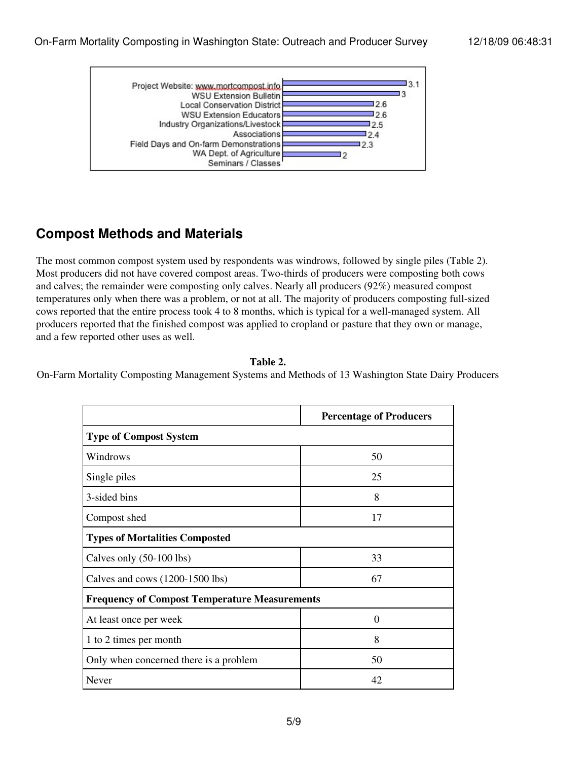

### **Compost Methods and Materials**

The most common compost system used by respondents was windrows, followed by single piles (Table 2). Most producers did not have covered compost areas. Two-thirds of producers were composting both cows and calves; the remainder were composting only calves. Nearly all producers (92%) measured compost temperatures only when there was a problem, or not at all. The majority of producers composting full-sized cows reported that the entire process took 4 to 8 months, which is typical for a well-managed system. All producers reported that the finished compost was applied to cropland or pasture that they own or manage, and a few reported other uses as well.

**Table 2.**

On-Farm Mortality Composting Management Systems and Methods of 13 Washington State Dairy Producers

|                                                      | <b>Percentage of Producers</b> |  |
|------------------------------------------------------|--------------------------------|--|
| <b>Type of Compost System</b>                        |                                |  |
| Windrows                                             | 50                             |  |
| Single piles                                         | 25                             |  |
| 3-sided bins                                         | 8                              |  |
| Compost shed                                         | 17                             |  |
| <b>Types of Mortalities Composted</b>                |                                |  |
| Calves only (50-100 lbs)                             | 33                             |  |
| Calves and cows (1200-1500 lbs)                      | 67                             |  |
| <b>Frequency of Compost Temperature Measurements</b> |                                |  |
| At least once per week                               | $\theta$                       |  |
| 1 to 2 times per month                               | 8                              |  |
| Only when concerned there is a problem               | 50                             |  |
| Never                                                | 42                             |  |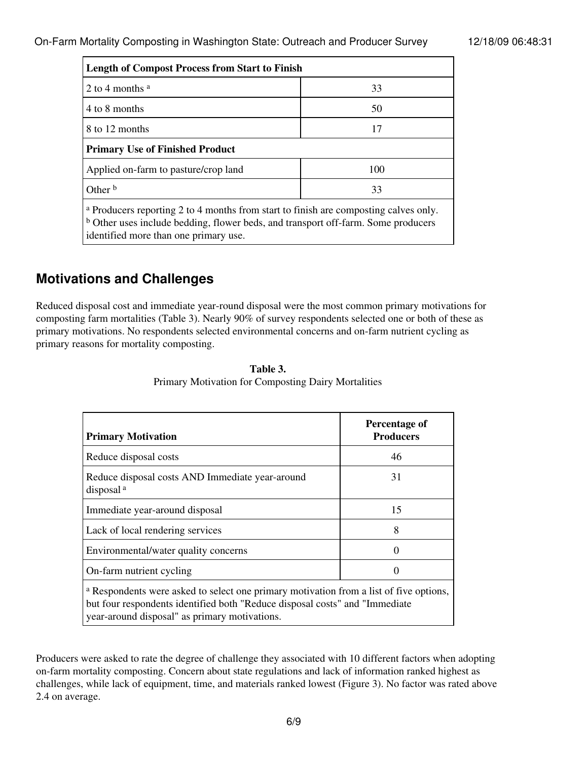| <b>Length of Compost Process from Start to Finish</b>                                                                                                                     |     |  |
|---------------------------------------------------------------------------------------------------------------------------------------------------------------------------|-----|--|
| 2 to 4 months $a$                                                                                                                                                         | 33  |  |
| 4 to 8 months                                                                                                                                                             | 50  |  |
| 8 to 12 months                                                                                                                                                            | 17  |  |
| <b>Primary Use of Finished Product</b>                                                                                                                                    |     |  |
| Applied on-farm to pasture/crop land                                                                                                                                      | 100 |  |
| Other <sup>b</sup>                                                                                                                                                        | 33  |  |
| a Producers reporting 2 to 4 months from start to finish are composting calves only.<br>b Other uses include bedding, flower beds, and transport off-farm. Some producers |     |  |

identified more than one primary use.

### **Motivations and Challenges**

Reduced disposal cost and immediate year-round disposal were the most common primary motivations for composting farm mortalities (Table 3). Nearly 90% of survey respondents selected one or both of these as primary motivations. No respondents selected environmental concerns and on-farm nutrient cycling as primary reasons for mortality composting.

| <b>Primary Motivation</b>                                                                                                                                                                                              | Percentage of<br><b>Producers</b> |  |
|------------------------------------------------------------------------------------------------------------------------------------------------------------------------------------------------------------------------|-----------------------------------|--|
| Reduce disposal costs                                                                                                                                                                                                  | 46                                |  |
| Reduce disposal costs AND Immediate year-around<br>disposal <sup>a</sup>                                                                                                                                               | 31                                |  |
| Immediate year-around disposal                                                                                                                                                                                         | 15                                |  |
| Lack of local rendering services                                                                                                                                                                                       | 8                                 |  |
| Environmental/water quality concerns                                                                                                                                                                                   |                                   |  |
| On-farm nutrient cycling                                                                                                                                                                                               | 0                                 |  |
| a Respondents were asked to select one primary motivation from a list of five options,<br>but four respondents identified both "Reduce disposal costs" and "Immediate<br>year-around disposal" as primary motivations. |                                   |  |

**Table 3.** Primary Motivation for Composting Dairy Mortalities

Producers were asked to rate the degree of challenge they associated with 10 different factors when adopting on-farm mortality composting. Concern about state regulations and lack of information ranked highest as challenges, while lack of equipment, time, and materials ranked lowest (Figure 3). No factor was rated above 2.4 on average.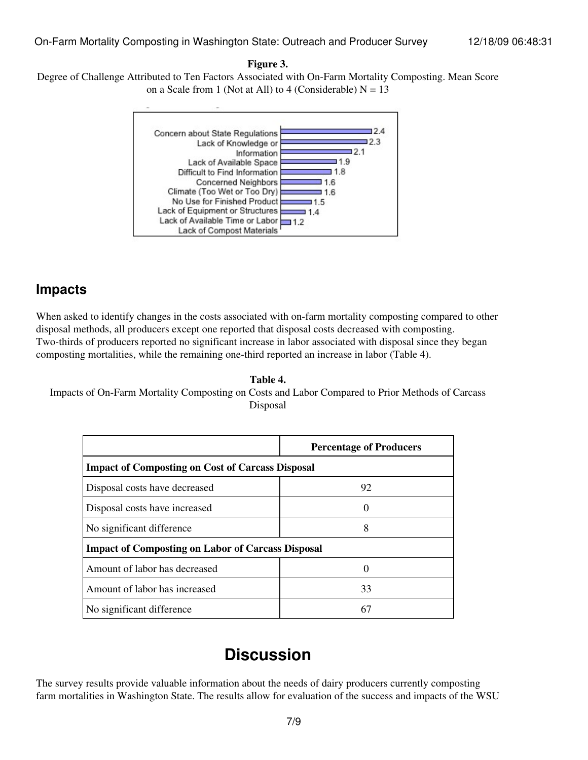#### **Figure 3.**

Degree of Challenge Attributed to Ten Factors Associated with On-Farm Mortality Composting. Mean Score on a Scale from 1 (Not at All) to 4 (Considerable)  $N = 13$ 



### **Impacts**

When asked to identify changes in the costs associated with on-farm mortality composting compared to other disposal methods, all producers except one reported that disposal costs decreased with composting. Two-thirds of producers reported no significant increase in labor associated with disposal since they began composting mortalities, while the remaining one-third reported an increase in labor (Table 4).

#### **Table 4.**

Impacts of On-Farm Mortality Composting on Costs and Labor Compared to Prior Methods of Carcass Disposal

|                                                          | <b>Percentage of Producers</b> |  |
|----------------------------------------------------------|--------------------------------|--|
| <b>Impact of Composting on Cost of Carcass Disposal</b>  |                                |  |
| Disposal costs have decreased                            | 92                             |  |
| Disposal costs have increased                            | $\Box$                         |  |
| No significant difference                                | 8                              |  |
| <b>Impact of Composting on Labor of Carcass Disposal</b> |                                |  |
| Amount of labor has decreased                            |                                |  |
| Amount of labor has increased                            | 33                             |  |
| No significant difference                                | 61                             |  |

### **Discussion**

The survey results provide valuable information about the needs of dairy producers currently composting farm mortalities in Washington State. The results allow for evaluation of the success and impacts of the WSU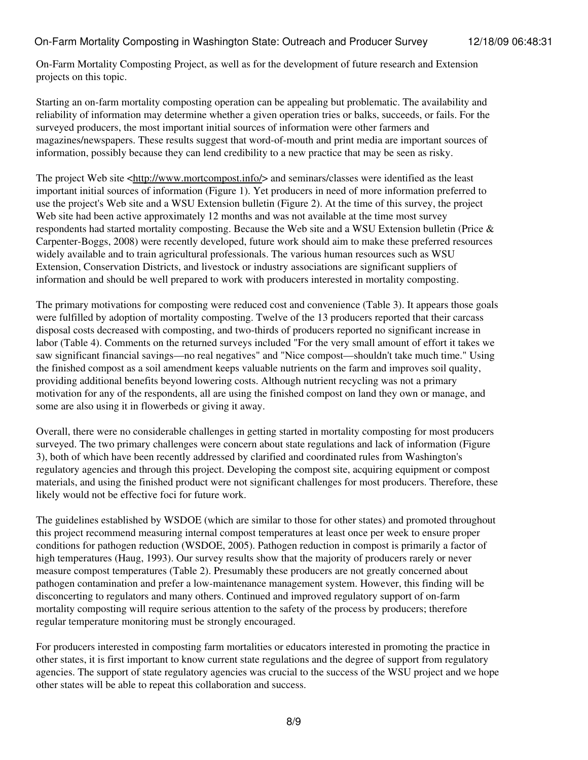On-Farm Mortality Composting Project, as well as for the development of future research and Extension projects on this topic.

Starting an on-farm mortality composting operation can be appealing but problematic. The availability and reliability of information may determine whether a given operation tries or balks, succeeds, or fails. For the surveyed producers, the most important initial sources of information were other farmers and magazines/newspapers. These results suggest that word-of-mouth and print media are important sources of information, possibly because they can lend credibility to a new practice that may be seen as risky.

The project Web site [<http://www.mortcompost.info/>](http://www.mortcompost.info/) and seminars/classes were identified as the least important initial sources of information (Figure 1). Yet producers in need of more information preferred to use the project's Web site and a WSU Extension bulletin (Figure 2). At the time of this survey, the project Web site had been active approximately 12 months and was not available at the time most survey respondents had started mortality composting. Because the Web site and a WSU Extension bulletin (Price & Carpenter-Boggs, 2008) were recently developed, future work should aim to make these preferred resources widely available and to train agricultural professionals. The various human resources such as WSU Extension, Conservation Districts, and livestock or industry associations are significant suppliers of information and should be well prepared to work with producers interested in mortality composting.

The primary motivations for composting were reduced cost and convenience (Table 3). It appears those goals were fulfilled by adoption of mortality composting. Twelve of the 13 producers reported that their carcass disposal costs decreased with composting, and two-thirds of producers reported no significant increase in labor (Table 4). Comments on the returned surveys included "For the very small amount of effort it takes we saw significant financial savings—no real negatives" and "Nice compost—shouldn't take much time." Using the finished compost as a soil amendment keeps valuable nutrients on the farm and improves soil quality, providing additional benefits beyond lowering costs. Although nutrient recycling was not a primary motivation for any of the respondents, all are using the finished compost on land they own or manage, and some are also using it in flowerbeds or giving it away.

Overall, there were no considerable challenges in getting started in mortality composting for most producers surveyed. The two primary challenges were concern about state regulations and lack of information (Figure 3), both of which have been recently addressed by clarified and coordinated rules from Washington's regulatory agencies and through this project. Developing the compost site, acquiring equipment or compost materials, and using the finished product were not significant challenges for most producers. Therefore, these likely would not be effective foci for future work.

The guidelines established by WSDOE (which are similar to those for other states) and promoted throughout this project recommend measuring internal compost temperatures at least once per week to ensure proper conditions for pathogen reduction (WSDOE, 2005). Pathogen reduction in compost is primarily a factor of high temperatures (Haug, 1993). Our survey results show that the majority of producers rarely or never measure compost temperatures (Table 2). Presumably these producers are not greatly concerned about pathogen contamination and prefer a low-maintenance management system. However, this finding will be disconcerting to regulators and many others. Continued and improved regulatory support of on-farm mortality composting will require serious attention to the safety of the process by producers; therefore regular temperature monitoring must be strongly encouraged.

For producers interested in composting farm mortalities or educators interested in promoting the practice in other states, it is first important to know current state regulations and the degree of support from regulatory agencies. The support of state regulatory agencies was crucial to the success of the WSU project and we hope other states will be able to repeat this collaboration and success.